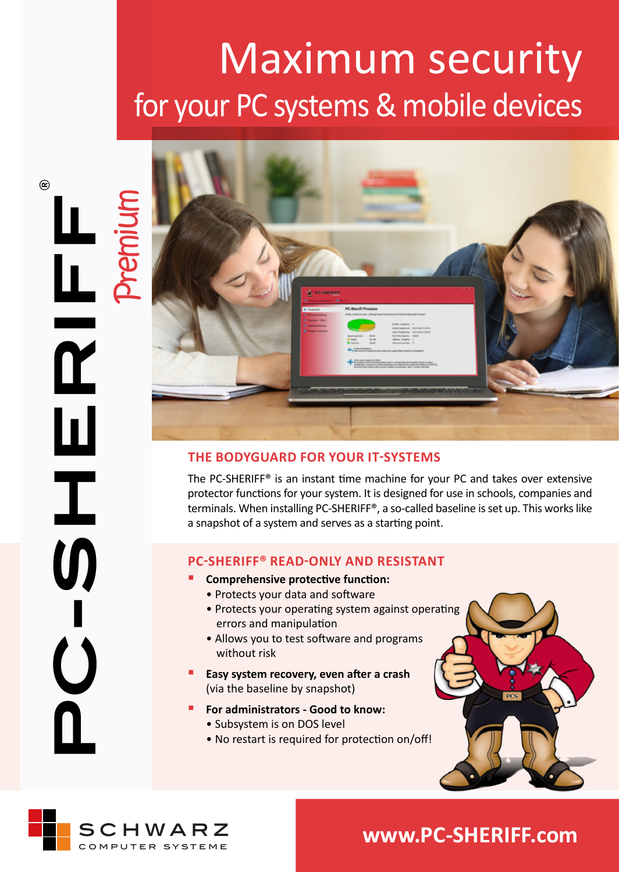# Maximum security for your PC systems & mobile devices



### **THE BODYGUARD FOR YOUR IT-SYSTEMS**

The PC-SHERIFF® is an instant time machine for your PC and takes over extensive protector functions for your system. It is designed for use in schools, companies and terminals. When installing PC-SHERIFF®, a so-called baseline is set up. This works like a snapshot of a system and serves as a starting point.

### **PC-SHERIFF® READ-ONLY AND RESISTANT**

- **Comprehensive protective function:**
- Protects your data and software
- Protects your operating system against operating errors and manipulation
- Allows you to test software and programs without risk
- **Easy system recovery, even after a crash**  (via the baseline by snapshot)
- **For administrators Good to know:** • Subsystem is on DOS level
	- No restart is required for protection on/off!





# **www.PC-SHERIFF.com**